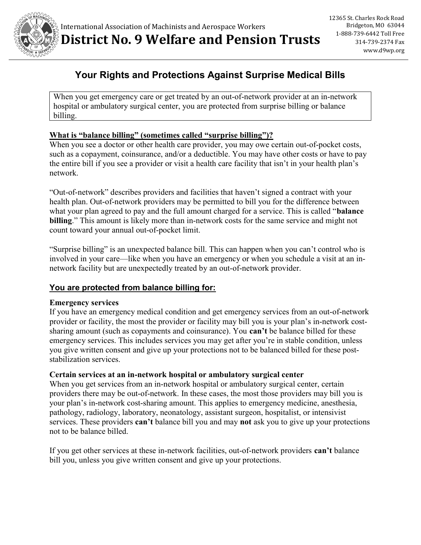

# Your Rights and Protections Against Surprise Medical Bills

When you get emergency care or get treated by an out-of-network provider at an in-network hospital or ambulatory surgical center, you are protected from surprise billing or balance billing.

## What is "balance billing" (sometimes called "surprise billing")?

When you see a doctor or other health care provider, you may owe certain out-of-pocket costs, such as a copayment, coinsurance, and/or a deductible. You may have other costs or have to pay the entire bill if you see a provider or visit a health care facility that isn't in your health plan's network.

"Out-of-network" describes providers and facilities that haven't signed a contract with your health plan. Out-of-network providers may be permitted to bill you for the difference between what your plan agreed to pay and the full amount charged for a service. This is called "**balance** billing." This amount is likely more than in-network costs for the same service and might not count toward your annual out-of-pocket limit.

"Surprise billing" is an unexpected balance bill. This can happen when you can't control who is involved in your care—like when you have an emergency or when you schedule a visit at an innetwork facility but are unexpectedly treated by an out-of-network provider.

# You are protected from balance billing for:

#### Emergency services

If you have an emergency medical condition and get emergency services from an out-of-network provider or facility, the most the provider or facility may bill you is your plan's in-network costsharing amount (such as copayments and coinsurance). You can't be balance billed for these emergency services. This includes services you may get after you're in stable condition, unless you give written consent and give up your protections not to be balanced billed for these poststabilization services.

#### Certain services at an in-network hospital or ambulatory surgical center

When you get services from an in-network hospital or ambulatory surgical center, certain providers there may be out-of-network. In these cases, the most those providers may bill you is your plan's in-network cost-sharing amount. This applies to emergency medicine, anesthesia, pathology, radiology, laboratory, neonatology, assistant surgeon, hospitalist, or intensivist services. These providers can't balance bill you and may not ask you to give up your protections not to be balance billed.

If you get other services at these in-network facilities, out-of-network providers can't balance bill you, unless you give written consent and give up your protections.